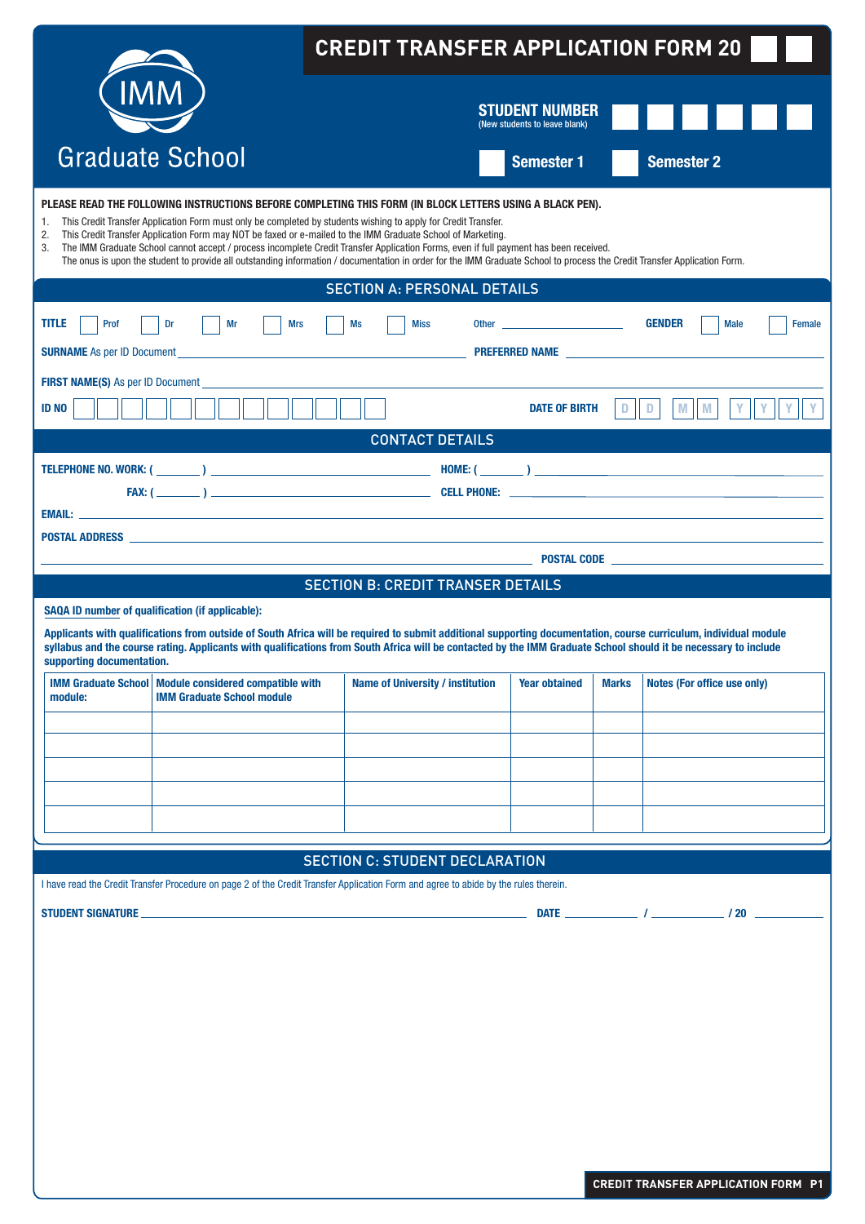|                                                                                                                                                                                                                                                                                                                                                                                                                                                                                                                                                                                                                                                                                   | <b>CREDIT TRANSFER APPLICATION FORM 20</b>                                                                                                                                                                                                                                                                                                                                              |                                          |                                                        |              |                              |               |  |  |  |
|-----------------------------------------------------------------------------------------------------------------------------------------------------------------------------------------------------------------------------------------------------------------------------------------------------------------------------------------------------------------------------------------------------------------------------------------------------------------------------------------------------------------------------------------------------------------------------------------------------------------------------------------------------------------------------------|-----------------------------------------------------------------------------------------------------------------------------------------------------------------------------------------------------------------------------------------------------------------------------------------------------------------------------------------------------------------------------------------|------------------------------------------|--------------------------------------------------------|--------------|------------------------------|---------------|--|--|--|
| <b>IMM</b>                                                                                                                                                                                                                                                                                                                                                                                                                                                                                                                                                                                                                                                                        |                                                                                                                                                                                                                                                                                                                                                                                         |                                          | <b>STUDENT NUMBER</b><br>(New students to leave blank) |              |                              |               |  |  |  |
|                                                                                                                                                                                                                                                                                                                                                                                                                                                                                                                                                                                                                                                                                   | <b>Graduate School</b>                                                                                                                                                                                                                                                                                                                                                                  |                                          | <b>Semester 1</b>                                      |              | <b>Semester 2</b>            |               |  |  |  |
| PLEASE READ THE FOLLOWING INSTRUCTIONS BEFORE COMPLETING THIS FORM (IN BLOCK LETTERS USING A BLACK PEN).<br>This Credit Transfer Application Form must only be completed by students wishing to apply for Credit Transfer.<br>1.<br>2.<br>This Credit Transfer Application Form may NOT be faxed or e-mailed to the IMM Graduate School of Marketing.<br>The IMM Graduate School cannot accept / process incomplete Credit Transfer Application Forms, even if full payment has been received.<br>3.<br>The onus is upon the student to provide all outstanding information / documentation in order for the IMM Graduate School to process the Credit Transfer Application Form. |                                                                                                                                                                                                                                                                                                                                                                                         |                                          |                                                        |              |                              |               |  |  |  |
|                                                                                                                                                                                                                                                                                                                                                                                                                                                                                                                                                                                                                                                                                   |                                                                                                                                                                                                                                                                                                                                                                                         | <b>SECTION A: PERSONAL DETAILS</b>       |                                                        |              |                              |               |  |  |  |
| <b>TITLE</b><br>Prof                                                                                                                                                                                                                                                                                                                                                                                                                                                                                                                                                                                                                                                              | Dr<br>Mr<br><b>Mrs</b>                                                                                                                                                                                                                                                                                                                                                                  | Ms<br><b>Miss</b>                        |                                                        |              | <b>GENDER</b><br><b>Male</b> | <b>Female</b> |  |  |  |
| <b>SURNAME</b> As per ID Document                                                                                                                                                                                                                                                                                                                                                                                                                                                                                                                                                                                                                                                 | <u> 1989 - Johann Barn, mars ann an t-Amhain ann an t-Amhain an t-Amhain an t-Amhain an t-Amhain an t-Amhain an t-</u>                                                                                                                                                                                                                                                                  |                                          |                                                        |              |                              |               |  |  |  |
| FIRST NAME(S) As per ID Document<br><b>ID NO</b>                                                                                                                                                                                                                                                                                                                                                                                                                                                                                                                                                                                                                                  |                                                                                                                                                                                                                                                                                                                                                                                         |                                          | <b>DATE OF BIRTH</b>                                   | Ð            | D<br>M<br>Υ<br>M             |               |  |  |  |
|                                                                                                                                                                                                                                                                                                                                                                                                                                                                                                                                                                                                                                                                                   |                                                                                                                                                                                                                                                                                                                                                                                         | <b>CONTACT DETAILS</b>                   |                                                        |              |                              |               |  |  |  |
|                                                                                                                                                                                                                                                                                                                                                                                                                                                                                                                                                                                                                                                                                   |                                                                                                                                                                                                                                                                                                                                                                                         |                                          |                                                        |              |                              |               |  |  |  |
|                                                                                                                                                                                                                                                                                                                                                                                                                                                                                                                                                                                                                                                                                   |                                                                                                                                                                                                                                                                                                                                                                                         |                                          |                                                        |              |                              |               |  |  |  |
|                                                                                                                                                                                                                                                                                                                                                                                                                                                                                                                                                                                                                                                                                   |                                                                                                                                                                                                                                                                                                                                                                                         |                                          |                                                        |              |                              |               |  |  |  |
|                                                                                                                                                                                                                                                                                                                                                                                                                                                                                                                                                                                                                                                                                   | <b>POSTAL ADDRESS</b>                                                                                                                                                                                                                                                                                                                                                                   |                                          |                                                        |              |                              |               |  |  |  |
| <b>POSTAL CODE AND A REPORT OF POSTAL CODE AND A REPORT OF POSTAL CODE</b>                                                                                                                                                                                                                                                                                                                                                                                                                                                                                                                                                                                                        |                                                                                                                                                                                                                                                                                                                                                                                         |                                          |                                                        |              |                              |               |  |  |  |
|                                                                                                                                                                                                                                                                                                                                                                                                                                                                                                                                                                                                                                                                                   |                                                                                                                                                                                                                                                                                                                                                                                         |                                          |                                                        |              |                              |               |  |  |  |
|                                                                                                                                                                                                                                                                                                                                                                                                                                                                                                                                                                                                                                                                                   |                                                                                                                                                                                                                                                                                                                                                                                         | <b>SECTION B: CREDIT TRANSER DETAILS</b> |                                                        |              |                              |               |  |  |  |
|                                                                                                                                                                                                                                                                                                                                                                                                                                                                                                                                                                                                                                                                                   | SAQA ID number of qualification (if applicable):<br>Applicants with qualifications from outside of South Africa will be required to submit additional supporting documentation, course curriculum, individual module<br>syllabus and the course rating. Applicants with qualifications from South Africa will be contacted by the IMM Graduate School should it be necessary to include |                                          |                                                        |              |                              |               |  |  |  |
| supporting documentation.                                                                                                                                                                                                                                                                                                                                                                                                                                                                                                                                                                                                                                                         |                                                                                                                                                                                                                                                                                                                                                                                         |                                          |                                                        |              |                              |               |  |  |  |
| <b>IMM Graduate School</b><br>module:                                                                                                                                                                                                                                                                                                                                                                                                                                                                                                                                                                                                                                             | Module considered compatible with<br><b>IMM Graduate School module</b>                                                                                                                                                                                                                                                                                                                  | <b>Name of University / institution</b>  | <b>Year obtained</b>                                   | <b>Marks</b> | Notes (For office use only)  |               |  |  |  |
|                                                                                                                                                                                                                                                                                                                                                                                                                                                                                                                                                                                                                                                                                   |                                                                                                                                                                                                                                                                                                                                                                                         |                                          |                                                        |              |                              |               |  |  |  |
|                                                                                                                                                                                                                                                                                                                                                                                                                                                                                                                                                                                                                                                                                   |                                                                                                                                                                                                                                                                                                                                                                                         |                                          |                                                        |              |                              |               |  |  |  |
|                                                                                                                                                                                                                                                                                                                                                                                                                                                                                                                                                                                                                                                                                   |                                                                                                                                                                                                                                                                                                                                                                                         |                                          |                                                        |              |                              |               |  |  |  |
|                                                                                                                                                                                                                                                                                                                                                                                                                                                                                                                                                                                                                                                                                   |                                                                                                                                                                                                                                                                                                                                                                                         |                                          |                                                        |              |                              |               |  |  |  |
|                                                                                                                                                                                                                                                                                                                                                                                                                                                                                                                                                                                                                                                                                   |                                                                                                                                                                                                                                                                                                                                                                                         |                                          |                                                        |              |                              |               |  |  |  |
|                                                                                                                                                                                                                                                                                                                                                                                                                                                                                                                                                                                                                                                                                   |                                                                                                                                                                                                                                                                                                                                                                                         | <b>SECTION C: STUDENT DECLARATION</b>    |                                                        |              |                              |               |  |  |  |
|                                                                                                                                                                                                                                                                                                                                                                                                                                                                                                                                                                                                                                                                                   | I have read the Credit Transfer Procedure on page 2 of the Credit Transfer Application Form and agree to abide by the rules therein.                                                                                                                                                                                                                                                    |                                          |                                                        |              |                              |               |  |  |  |
|                                                                                                                                                                                                                                                                                                                                                                                                                                                                                                                                                                                                                                                                                   |                                                                                                                                                                                                                                                                                                                                                                                         |                                          |                                                        |              |                              |               |  |  |  |
|                                                                                                                                                                                                                                                                                                                                                                                                                                                                                                                                                                                                                                                                                   |                                                                                                                                                                                                                                                                                                                                                                                         |                                          |                                                        |              |                              |               |  |  |  |
|                                                                                                                                                                                                                                                                                                                                                                                                                                                                                                                                                                                                                                                                                   |                                                                                                                                                                                                                                                                                                                                                                                         |                                          |                                                        |              |                              |               |  |  |  |
|                                                                                                                                                                                                                                                                                                                                                                                                                                                                                                                                                                                                                                                                                   |                                                                                                                                                                                                                                                                                                                                                                                         |                                          |                                                        |              |                              |               |  |  |  |
|                                                                                                                                                                                                                                                                                                                                                                                                                                                                                                                                                                                                                                                                                   |                                                                                                                                                                                                                                                                                                                                                                                         |                                          |                                                        |              |                              |               |  |  |  |
|                                                                                                                                                                                                                                                                                                                                                                                                                                                                                                                                                                                                                                                                                   |                                                                                                                                                                                                                                                                                                                                                                                         |                                          |                                                        |              |                              |               |  |  |  |
|                                                                                                                                                                                                                                                                                                                                                                                                                                                                                                                                                                                                                                                                                   |                                                                                                                                                                                                                                                                                                                                                                                         |                                          |                                                        |              |                              |               |  |  |  |